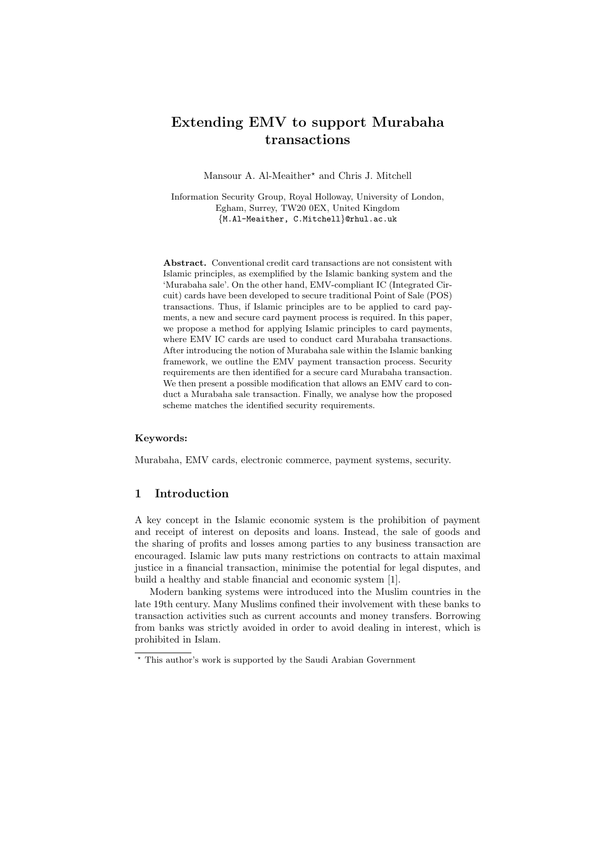# Extending EMV to support Murabaha transactions

Mansour A. Al-Meaither<sup>\*</sup> and Chris J. Mitchell

Information Security Group, Royal Holloway, University of London, Egham, Surrey, TW20 0EX, United Kingdom {M.Al-Meaither, C.Mitchell}@rhul.ac.uk

Abstract. Conventional credit card transactions are not consistent with Islamic principles, as exemplified by the Islamic banking system and the 'Murabaha sale'. On the other hand, EMV-compliant IC (Integrated Circuit) cards have been developed to secure traditional Point of Sale (POS) transactions. Thus, if Islamic principles are to be applied to card payments, a new and secure card payment process is required. In this paper, we propose a method for applying Islamic principles to card payments, where EMV IC cards are used to conduct card Murabaha transactions. After introducing the notion of Murabaha sale within the Islamic banking framework, we outline the EMV payment transaction process. Security requirements are then identified for a secure card Murabaha transaction. We then present a possible modification that allows an EMV card to conduct a Murabaha sale transaction. Finally, we analyse how the proposed scheme matches the identified security requirements.

#### Keywords:

Murabaha, EMV cards, electronic commerce, payment systems, security.

# 1 Introduction

A key concept in the Islamic economic system is the prohibition of payment and receipt of interest on deposits and loans. Instead, the sale of goods and the sharing of profits and losses among parties to any business transaction are encouraged. Islamic law puts many restrictions on contracts to attain maximal justice in a financial transaction, minimise the potential for legal disputes, and build a healthy and stable financial and economic system [1].

Modern banking systems were introduced into the Muslim countries in the late 19th century. Many Muslims confined their involvement with these banks to transaction activities such as current accounts and money transfers. Borrowing from banks was strictly avoided in order to avoid dealing in interest, which is prohibited in Islam.

 $^{\star}$  This author's work is supported by the Saudi Arabian Government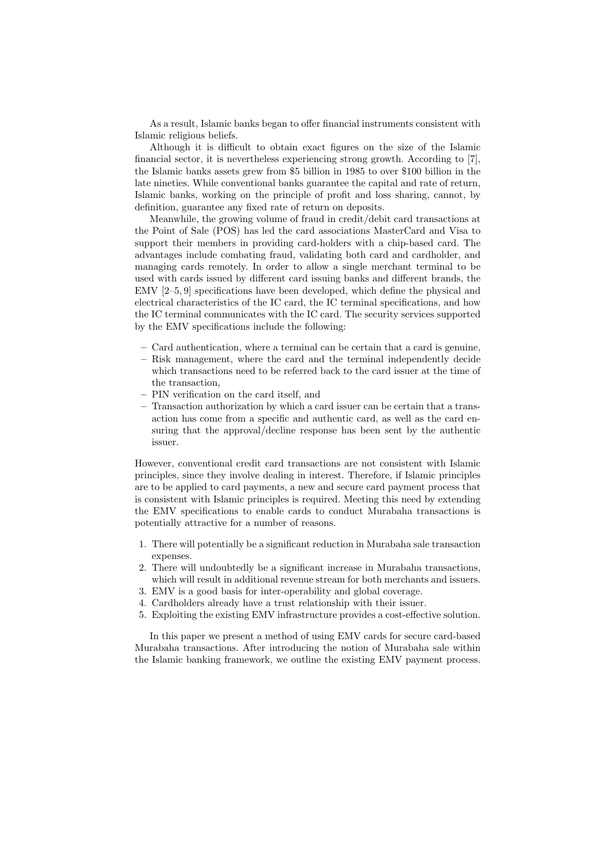As a result, Islamic banks began to offer financial instruments consistent with Islamic religious beliefs.

Although it is difficult to obtain exact figures on the size of the Islamic financial sector, it is nevertheless experiencing strong growth. According to [7], the Islamic banks assets grew from \$5 billion in 1985 to over \$100 billion in the late nineties. While conventional banks guarantee the capital and rate of return, Islamic banks, working on the principle of profit and loss sharing, cannot, by definition, guarantee any fixed rate of return on deposits.

Meanwhile, the growing volume of fraud in credit/debit card transactions at the Point of Sale (POS) has led the card associations MasterCard and Visa to support their members in providing card-holders with a chip-based card. The advantages include combating fraud, validating both card and cardholder, and managing cards remotely. In order to allow a single merchant terminal to be used with cards issued by different card issuing banks and different brands, the EMV [2–5, 9] specifications have been developed, which define the physical and electrical characteristics of the IC card, the IC terminal specifications, and how the IC terminal communicates with the IC card. The security services supported by the EMV specifications include the following:

- Card authentication, where a terminal can be certain that a card is genuine,
- Risk management, where the card and the terminal independently decide which transactions need to be referred back to the card issuer at the time of the transaction,
- PIN verification on the card itself, and
- Transaction authorization by which a card issuer can be certain that a transaction has come from a specific and authentic card, as well as the card ensuring that the approval/decline response has been sent by the authentic issuer.

However, conventional credit card transactions are not consistent with Islamic principles, since they involve dealing in interest. Therefore, if Islamic principles are to be applied to card payments, a new and secure card payment process that is consistent with Islamic principles is required. Meeting this need by extending the EMV specifications to enable cards to conduct Murabaha transactions is potentially attractive for a number of reasons.

- 1. There will potentially be a significant reduction in Murabaha sale transaction expenses.
- 2. There will undoubtedly be a significant increase in Murabaha transactions, which will result in additional revenue stream for both merchants and issuers.
- 3. EMV is a good basis for inter-operability and global coverage.
- 4. Cardholders already have a trust relationship with their issuer.
- 5. Exploiting the existing EMV infrastructure provides a cost-effective solution.

In this paper we present a method of using EMV cards for secure card-based Murabaha transactions. After introducing the notion of Murabaha sale within the Islamic banking framework, we outline the existing EMV payment process.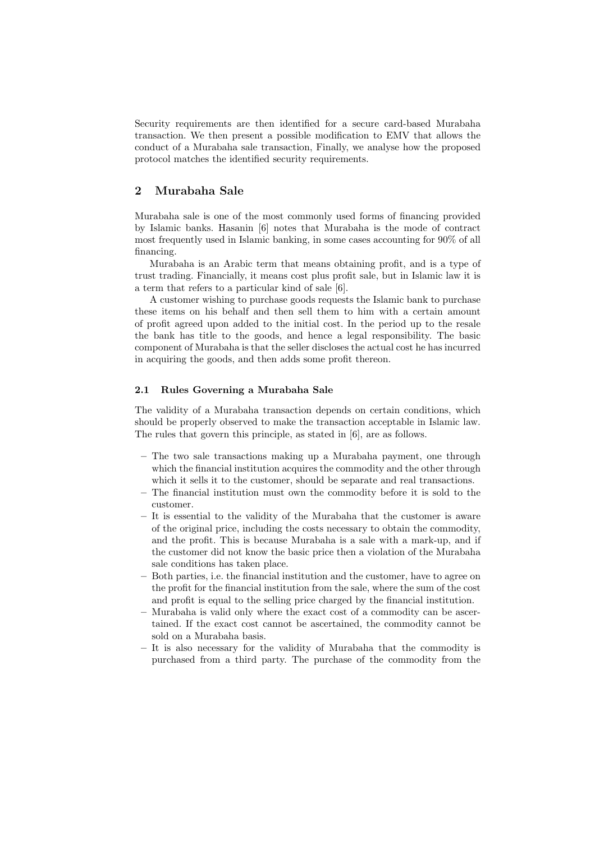Security requirements are then identified for a secure card-based Murabaha transaction. We then present a possible modification to EMV that allows the conduct of a Murabaha sale transaction, Finally, we analyse how the proposed protocol matches the identified security requirements.

# 2 Murabaha Sale

Murabaha sale is one of the most commonly used forms of financing provided by Islamic banks. Hasanin [6] notes that Murabaha is the mode of contract most frequently used in Islamic banking, in some cases accounting for 90% of all financing.

Murabaha is an Arabic term that means obtaining profit, and is a type of trust trading. Financially, it means cost plus profit sale, but in Islamic law it is a term that refers to a particular kind of sale [6].

A customer wishing to purchase goods requests the Islamic bank to purchase these items on his behalf and then sell them to him with a certain amount of profit agreed upon added to the initial cost. In the period up to the resale the bank has title to the goods, and hence a legal responsibility. The basic component of Murabaha is that the seller discloses the actual cost he has incurred in acquiring the goods, and then adds some profit thereon.

# 2.1 Rules Governing a Murabaha Sale

The validity of a Murabaha transaction depends on certain conditions, which should be properly observed to make the transaction acceptable in Islamic law. The rules that govern this principle, as stated in [6], are as follows.

- The two sale transactions making up a Murabaha payment, one through which the financial institution acquires the commodity and the other through which it sells it to the customer, should be separate and real transactions.
- The financial institution must own the commodity before it is sold to the customer.
- It is essential to the validity of the Murabaha that the customer is aware of the original price, including the costs necessary to obtain the commodity, and the profit. This is because Murabaha is a sale with a mark-up, and if the customer did not know the basic price then a violation of the Murabaha sale conditions has taken place.
- Both parties, i.e. the financial institution and the customer, have to agree on the profit for the financial institution from the sale, where the sum of the cost and profit is equal to the selling price charged by the financial institution.
- Murabaha is valid only where the exact cost of a commodity can be ascertained. If the exact cost cannot be ascertained, the commodity cannot be sold on a Murabaha basis.
- It is also necessary for the validity of Murabaha that the commodity is purchased from a third party. The purchase of the commodity from the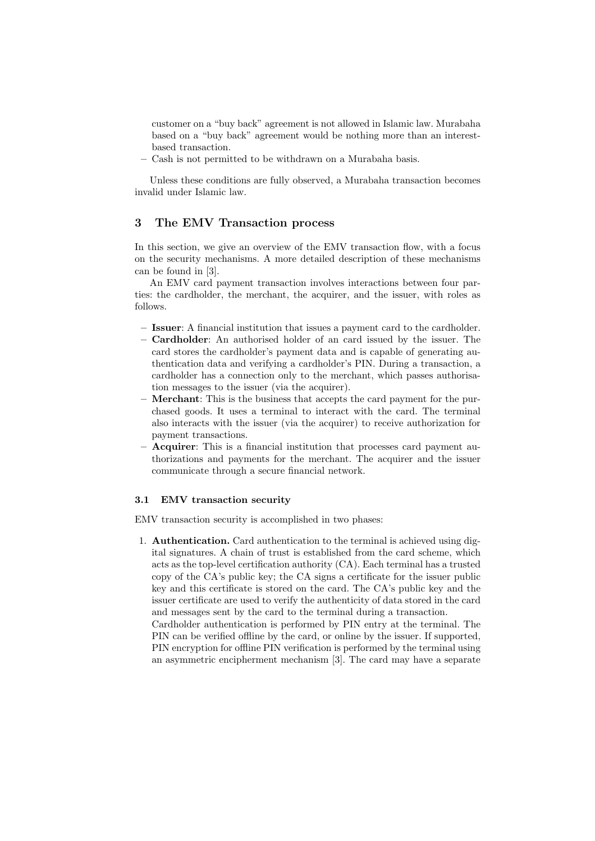customer on a "buy back" agreement is not allowed in Islamic law. Murabaha based on a "buy back" agreement would be nothing more than an interestbased transaction.

– Cash is not permitted to be withdrawn on a Murabaha basis.

Unless these conditions are fully observed, a Murabaha transaction becomes invalid under Islamic law.

# 3 The EMV Transaction process

In this section, we give an overview of the EMV transaction flow, with a focus on the security mechanisms. A more detailed description of these mechanisms can be found in [3].

An EMV card payment transaction involves interactions between four parties: the cardholder, the merchant, the acquirer, and the issuer, with roles as follows.

- Issuer: A financial institution that issues a payment card to the cardholder.
- Cardholder: An authorised holder of an card issued by the issuer. The card stores the cardholder's payment data and is capable of generating authentication data and verifying a cardholder's PIN. During a transaction, a cardholder has a connection only to the merchant, which passes authorisation messages to the issuer (via the acquirer).
- Merchant: This is the business that accepts the card payment for the purchased goods. It uses a terminal to interact with the card. The terminal also interacts with the issuer (via the acquirer) to receive authorization for payment transactions.
- Acquirer: This is a financial institution that processes card payment authorizations and payments for the merchant. The acquirer and the issuer communicate through a secure financial network.

#### 3.1 EMV transaction security

EMV transaction security is accomplished in two phases:

1. Authentication. Card authentication to the terminal is achieved using digital signatures. A chain of trust is established from the card scheme, which acts as the top-level certification authority (CA). Each terminal has a trusted copy of the CA's public key; the CA signs a certificate for the issuer public key and this certificate is stored on the card. The CA's public key and the issuer certificate are used to verify the authenticity of data stored in the card and messages sent by the card to the terminal during a transaction.

Cardholder authentication is performed by PIN entry at the terminal. The PIN can be verified offline by the card, or online by the issuer. If supported, PIN encryption for offline PIN verification is performed by the terminal using an asymmetric encipherment mechanism [3]. The card may have a separate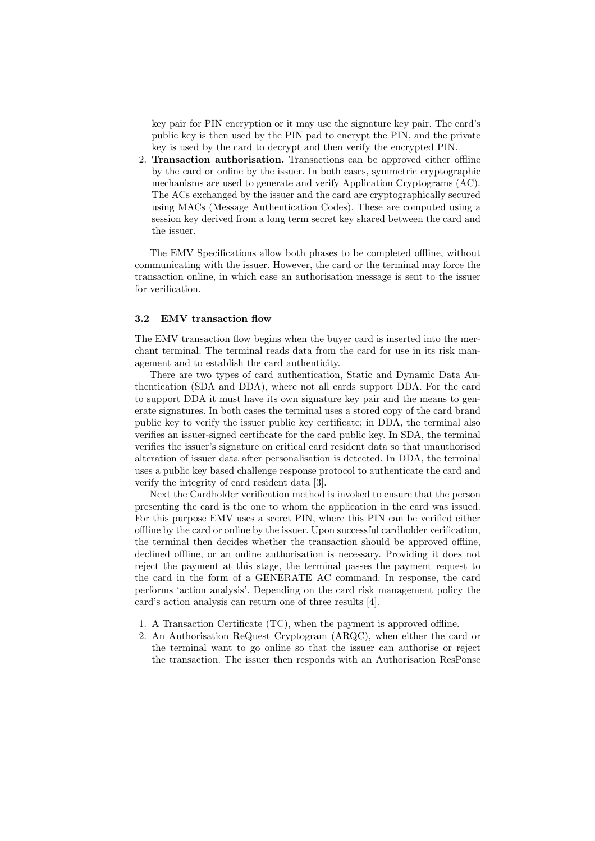key pair for PIN encryption or it may use the signature key pair. The card's public key is then used by the PIN pad to encrypt the PIN, and the private key is used by the card to decrypt and then verify the encrypted PIN.

2. Transaction authorisation. Transactions can be approved either offline by the card or online by the issuer. In both cases, symmetric cryptographic mechanisms are used to generate and verify Application Cryptograms (AC). The ACs exchanged by the issuer and the card are cryptographically secured using MACs (Message Authentication Codes). These are computed using a session key derived from a long term secret key shared between the card and the issuer.

The EMV Specifications allow both phases to be completed offline, without communicating with the issuer. However, the card or the terminal may force the transaction online, in which case an authorisation message is sent to the issuer for verification.

#### 3.2 EMV transaction flow

The EMV transaction flow begins when the buyer card is inserted into the merchant terminal. The terminal reads data from the card for use in its risk management and to establish the card authenticity.

There are two types of card authentication, Static and Dynamic Data Authentication (SDA and DDA), where not all cards support DDA. For the card to support DDA it must have its own signature key pair and the means to generate signatures. In both cases the terminal uses a stored copy of the card brand public key to verify the issuer public key certificate; in DDA, the terminal also verifies an issuer-signed certificate for the card public key. In SDA, the terminal verifies the issuer's signature on critical card resident data so that unauthorised alteration of issuer data after personalisation is detected. In DDA, the terminal uses a public key based challenge response protocol to authenticate the card and verify the integrity of card resident data [3].

Next the Cardholder verification method is invoked to ensure that the person presenting the card is the one to whom the application in the card was issued. For this purpose EMV uses a secret PIN, where this PIN can be verified either offline by the card or online by the issuer. Upon successful cardholder verification, the terminal then decides whether the transaction should be approved offline, declined offline, or an online authorisation is necessary. Providing it does not reject the payment at this stage, the terminal passes the payment request to the card in the form of a GENERATE AC command. In response, the card performs 'action analysis'. Depending on the card risk management policy the card's action analysis can return one of three results [4].

- 1. A Transaction Certificate (TC), when the payment is approved offline.
- 2. An Authorisation ReQuest Cryptogram (ARQC), when either the card or the terminal want to go online so that the issuer can authorise or reject the transaction. The issuer then responds with an Authorisation ResPonse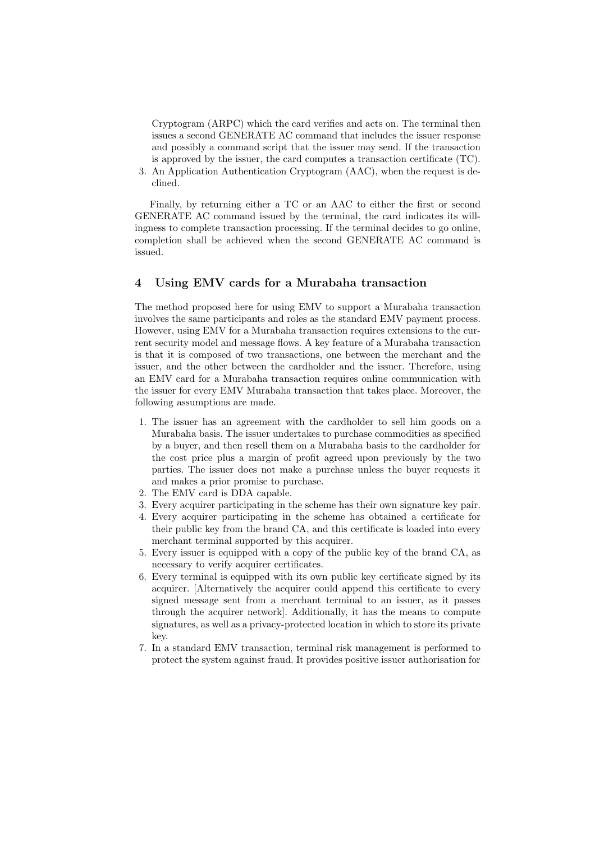Cryptogram (ARPC) which the card verifies and acts on. The terminal then issues a second GENERATE AC command that includes the issuer response and possibly a command script that the issuer may send. If the transaction is approved by the issuer, the card computes a transaction certificate (TC).

3. An Application Authentication Cryptogram (AAC), when the request is declined.

Finally, by returning either a TC or an AAC to either the first or second GENERATE AC command issued by the terminal, the card indicates its willingness to complete transaction processing. If the terminal decides to go online, completion shall be achieved when the second GENERATE AC command is issued.

# 4 Using EMV cards for a Murabaha transaction

The method proposed here for using EMV to support a Murabaha transaction involves the same participants and roles as the standard EMV payment process. However, using EMV for a Murabaha transaction requires extensions to the current security model and message flows. A key feature of a Murabaha transaction is that it is composed of two transactions, one between the merchant and the issuer, and the other between the cardholder and the issuer. Therefore, using an EMV card for a Murabaha transaction requires online communication with the issuer for every EMV Murabaha transaction that takes place. Moreover, the following assumptions are made.

- 1. The issuer has an agreement with the cardholder to sell him goods on a Murabaha basis. The issuer undertakes to purchase commodities as specified by a buyer, and then resell them on a Murabaha basis to the cardholder for the cost price plus a margin of profit agreed upon previously by the two parties. The issuer does not make a purchase unless the buyer requests it and makes a prior promise to purchase.
- 2. The EMV card is DDA capable.
- 3. Every acquirer participating in the scheme has their own signature key pair.
- 4. Every acquirer participating in the scheme has obtained a certificate for their public key from the brand CA, and this certificate is loaded into every merchant terminal supported by this acquirer.
- 5. Every issuer is equipped with a copy of the public key of the brand CA, as necessary to verify acquirer certificates.
- 6. Every terminal is equipped with its own public key certificate signed by its acquirer. [Alternatively the acquirer could append this certificate to every signed message sent from a merchant terminal to an issuer, as it passes through the acquirer network]. Additionally, it has the means to compute signatures, as well as a privacy-protected location in which to store its private key.
- 7. In a standard EMV transaction, terminal risk management is performed to protect the system against fraud. It provides positive issuer authorisation for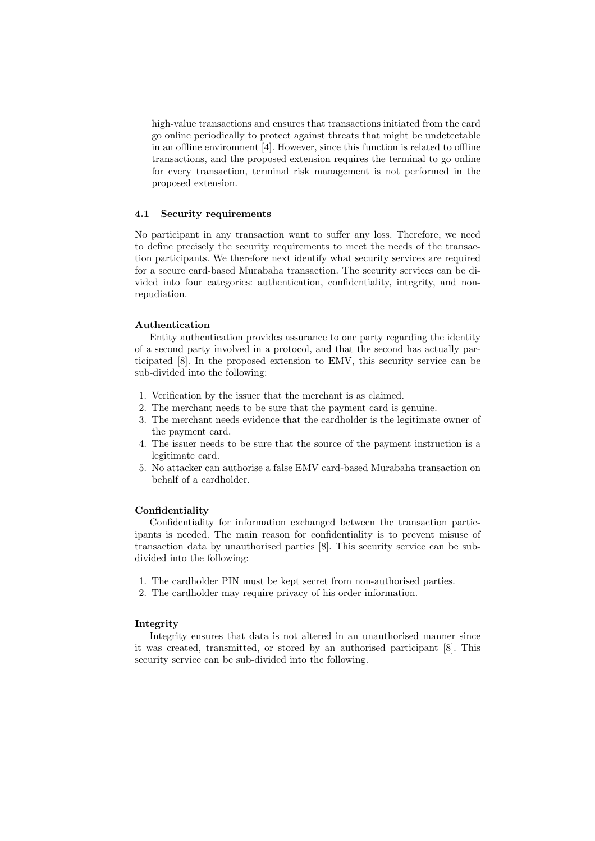high-value transactions and ensures that transactions initiated from the card go online periodically to protect against threats that might be undetectable in an offline environment [4]. However, since this function is related to offline transactions, and the proposed extension requires the terminal to go online for every transaction, terminal risk management is not performed in the proposed extension.

### 4.1 Security requirements

No participant in any transaction want to suffer any loss. Therefore, we need to define precisely the security requirements to meet the needs of the transaction participants. We therefore next identify what security services are required for a secure card-based Murabaha transaction. The security services can be divided into four categories: authentication, confidentiality, integrity, and nonrepudiation.

#### Authentication

Entity authentication provides assurance to one party regarding the identity of a second party involved in a protocol, and that the second has actually participated [8]. In the proposed extension to EMV, this security service can be sub-divided into the following:

- 1. Verification by the issuer that the merchant is as claimed.
- 2. The merchant needs to be sure that the payment card is genuine.
- 3. The merchant needs evidence that the cardholder is the legitimate owner of the payment card.
- 4. The issuer needs to be sure that the source of the payment instruction is a legitimate card.
- 5. No attacker can authorise a false EMV card-based Murabaha transaction on behalf of a cardholder.

# Confidentiality

Confidentiality for information exchanged between the transaction participants is needed. The main reason for confidentiality is to prevent misuse of transaction data by unauthorised parties [8]. This security service can be subdivided into the following:

- 1. The cardholder PIN must be kept secret from non-authorised parties.
- 2. The cardholder may require privacy of his order information.

#### Integrity

Integrity ensures that data is not altered in an unauthorised manner since it was created, transmitted, or stored by an authorised participant [8]. This security service can be sub-divided into the following.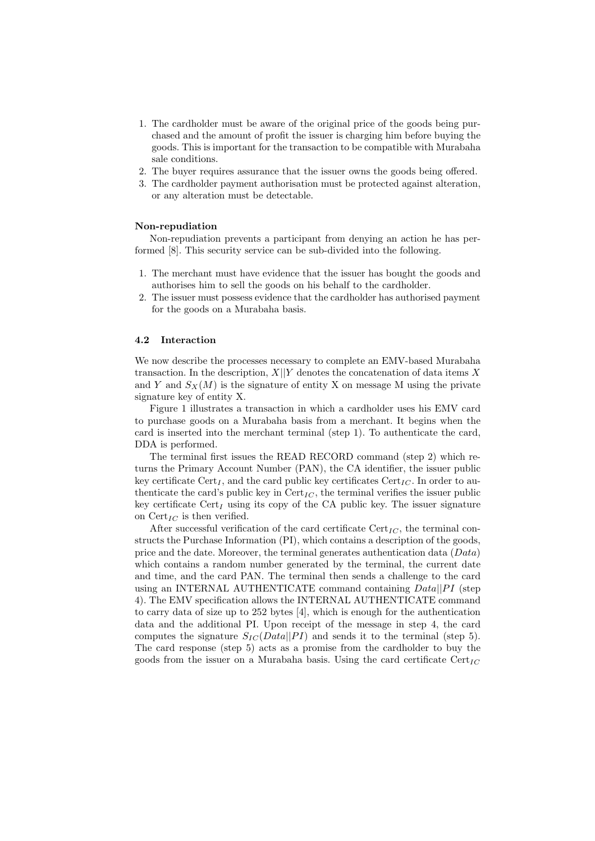- 1. The cardholder must be aware of the original price of the goods being purchased and the amount of profit the issuer is charging him before buying the goods. This is important for the transaction to be compatible with Murabaha sale conditions.
- 2. The buyer requires assurance that the issuer owns the goods being offered.
- 3. The cardholder payment authorisation must be protected against alteration, or any alteration must be detectable.

#### Non-repudiation

Non-repudiation prevents a participant from denying an action he has performed [8]. This security service can be sub-divided into the following.

- 1. The merchant must have evidence that the issuer has bought the goods and authorises him to sell the goods on his behalf to the cardholder.
- 2. The issuer must possess evidence that the cardholder has authorised payment for the goods on a Murabaha basis.

#### 4.2 Interaction

We now describe the processes necessary to complete an EMV-based Murabaha transaction. In the description,  $X||Y$  denotes the concatenation of data items  $X$ and Y and  $S_X(M)$  is the signature of entity X on message M using the private signature key of entity X.

Figure 1 illustrates a transaction in which a cardholder uses his EMV card to purchase goods on a Murabaha basis from a merchant. It begins when the card is inserted into the merchant terminal (step 1). To authenticate the card, DDA is performed.

The terminal first issues the READ RECORD command (step 2) which returns the Primary Account Number (PAN), the CA identifier, the issuer public key certificate Cert<sub>I</sub>, and the card public key certificates Cert<sub>IC</sub>. In order to authenticate the card's public key in  $Cert_{IC}$ , the terminal verifies the issuer public key certificate  $Cert_I$  using its copy of the CA public key. The issuer signature on  $\text{Cert}_{IC}$  is then verified.

After successful verification of the card certificate  $Cert_{IC}$ , the terminal constructs the Purchase Information (PI), which contains a description of the goods, price and the date. Moreover, the terminal generates authentication data  $(Data)$ which contains a random number generated by the terminal, the current date and time, and the card PAN. The terminal then sends a challenge to the card using an INTERNAL AUTHENTICATE command containing  $Data||PI$  (step 4). The EMV specification allows the INTERNAL AUTHENTICATE command to carry data of size up to 252 bytes [4], which is enough for the authentication data and the additional PI. Upon receipt of the message in step 4, the card computes the signature  $S_{IC}(Data||PI)$  and sends it to the terminal (step 5). The card response (step 5) acts as a promise from the cardholder to buy the goods from the issuer on a Murabaha basis. Using the card certificate  $Cert_{IC}$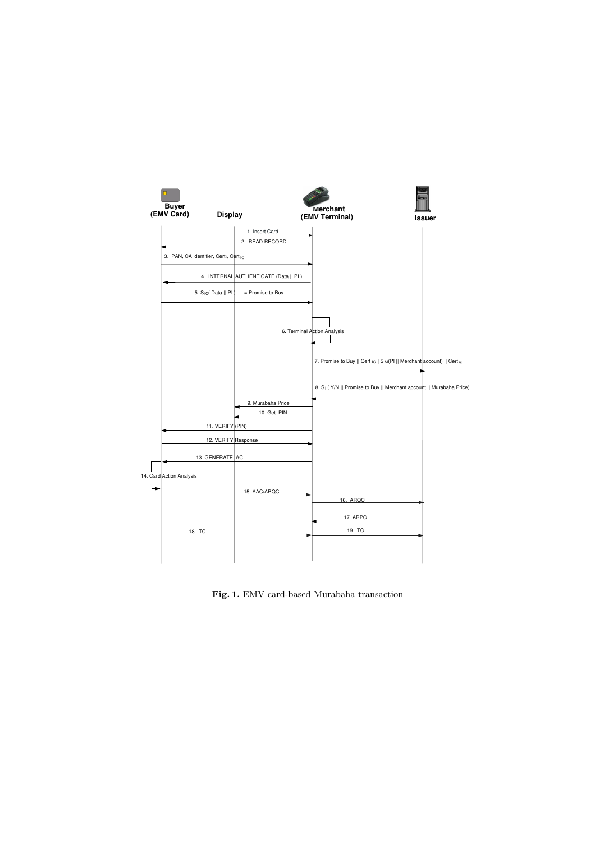

Fig. 1. EMV card-based Murabaha transaction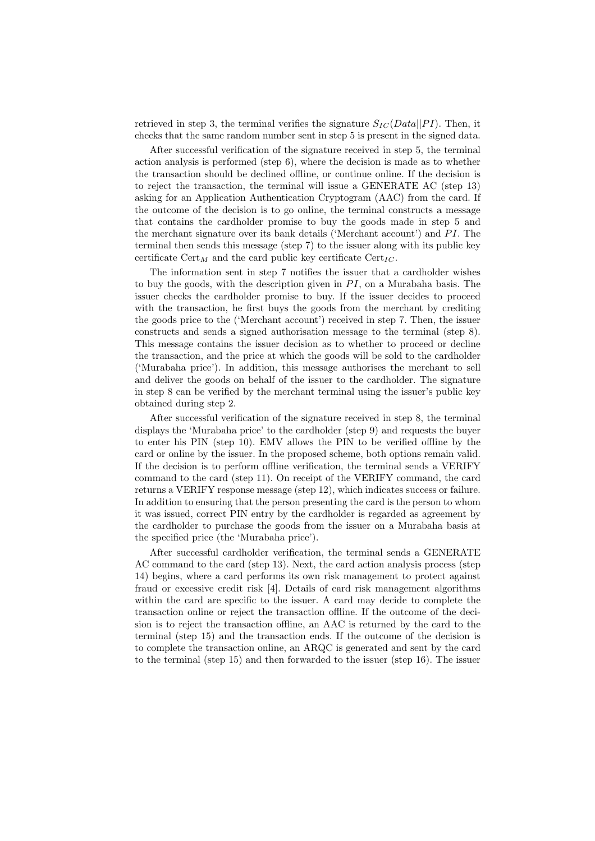retrieved in step 3, the terminal verifies the signature  $S_{IC}(Data||PI)$ . Then, it checks that the same random number sent in step 5 is present in the signed data.

After successful verification of the signature received in step 5, the terminal action analysis is performed (step 6), where the decision is made as to whether the transaction should be declined offline, or continue online. If the decision is to reject the transaction, the terminal will issue a GENERATE AC (step 13) asking for an Application Authentication Cryptogram (AAC) from the card. If the outcome of the decision is to go online, the terminal constructs a message that contains the cardholder promise to buy the goods made in step 5 and the merchant signature over its bank details ('Merchant account') and  $PI$ . The terminal then sends this message (step 7) to the issuer along with its public key certificate  $\text{Cert}_M$  and the card public key certificate  $\text{Cert}_{IC}$ .

The information sent in step 7 notifies the issuer that a cardholder wishes to buy the goods, with the description given in  $PI$ , on a Murabaha basis. The issuer checks the cardholder promise to buy. If the issuer decides to proceed with the transaction, he first buys the goods from the merchant by crediting the goods price to the ('Merchant account') received in step 7. Then, the issuer constructs and sends a signed authorisation message to the terminal (step 8). This message contains the issuer decision as to whether to proceed or decline the transaction, and the price at which the goods will be sold to the cardholder ('Murabaha price'). In addition, this message authorises the merchant to sell and deliver the goods on behalf of the issuer to the cardholder. The signature in step 8 can be verified by the merchant terminal using the issuer's public key obtained during step 2.

After successful verification of the signature received in step 8, the terminal displays the 'Murabaha price' to the cardholder (step 9) and requests the buyer to enter his PIN (step 10). EMV allows the PIN to be verified offline by the card or online by the issuer. In the proposed scheme, both options remain valid. If the decision is to perform offline verification, the terminal sends a VERIFY command to the card (step 11). On receipt of the VERIFY command, the card returns a VERIFY response message (step 12), which indicates success or failure. In addition to ensuring that the person presenting the card is the person to whom it was issued, correct PIN entry by the cardholder is regarded as agreement by the cardholder to purchase the goods from the issuer on a Murabaha basis at the specified price (the 'Murabaha price').

After successful cardholder verification, the terminal sends a GENERATE AC command to the card (step 13). Next, the card action analysis process (step 14) begins, where a card performs its own risk management to protect against fraud or excessive credit risk [4]. Details of card risk management algorithms within the card are specific to the issuer. A card may decide to complete the transaction online or reject the transaction offline. If the outcome of the decision is to reject the transaction offline, an AAC is returned by the card to the terminal (step 15) and the transaction ends. If the outcome of the decision is to complete the transaction online, an ARQC is generated and sent by the card to the terminal (step 15) and then forwarded to the issuer (step 16). The issuer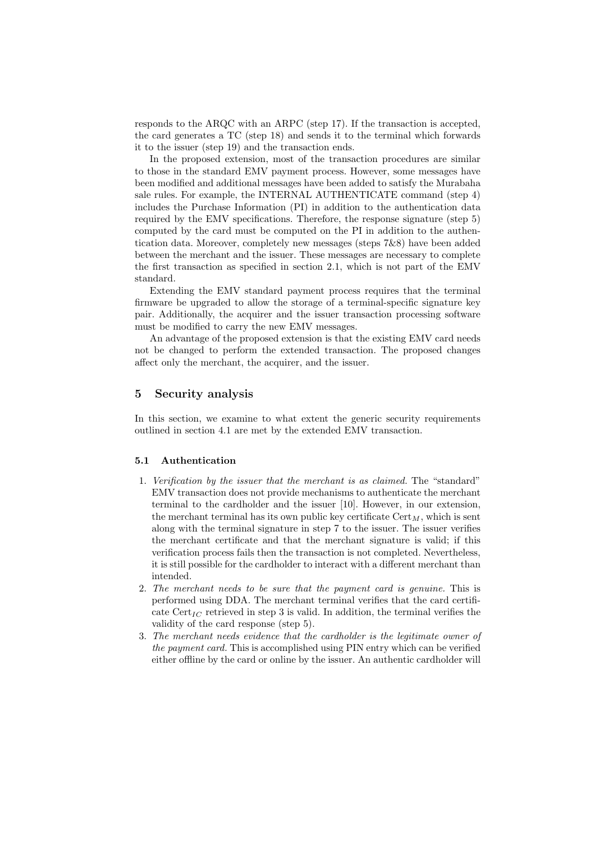responds to the ARQC with an ARPC (step 17). If the transaction is accepted, the card generates a TC (step 18) and sends it to the terminal which forwards it to the issuer (step 19) and the transaction ends.

In the proposed extension, most of the transaction procedures are similar to those in the standard EMV payment process. However, some messages have been modified and additional messages have been added to satisfy the Murabaha sale rules. For example, the INTERNAL AUTHENTICATE command (step 4) includes the Purchase Information (PI) in addition to the authentication data required by the EMV specifications. Therefore, the response signature (step 5) computed by the card must be computed on the PI in addition to the authentication data. Moreover, completely new messages (steps 7&8) have been added between the merchant and the issuer. These messages are necessary to complete the first transaction as specified in section 2.1, which is not part of the EMV standard.

Extending the EMV standard payment process requires that the terminal firmware be upgraded to allow the storage of a terminal-specific signature key pair. Additionally, the acquirer and the issuer transaction processing software must be modified to carry the new EMV messages.

An advantage of the proposed extension is that the existing EMV card needs not be changed to perform the extended transaction. The proposed changes affect only the merchant, the acquirer, and the issuer.

# 5 Security analysis

In this section, we examine to what extent the generic security requirements outlined in section 4.1 are met by the extended EMV transaction.

#### 5.1 Authentication

- 1. Verification by the issuer that the merchant is as claimed. The "standard" EMV transaction does not provide mechanisms to authenticate the merchant terminal to the cardholder and the issuer [10]. However, in our extension, the merchant terminal has its own public key certificate  $\text{Cert}_M$ , which is sent along with the terminal signature in step 7 to the issuer. The issuer verifies the merchant certificate and that the merchant signature is valid; if this verification process fails then the transaction is not completed. Nevertheless, it is still possible for the cardholder to interact with a different merchant than intended.
- 2. The merchant needs to be sure that the payment card is genuine. This is performed using DDA. The merchant terminal verifies that the card certificate Cert<sub>IC</sub> retrieved in step 3 is valid. In addition, the terminal verifies the validity of the card response (step 5).
- 3. The merchant needs evidence that the cardholder is the legitimate owner of the payment card. This is accomplished using PIN entry which can be verified either offline by the card or online by the issuer. An authentic cardholder will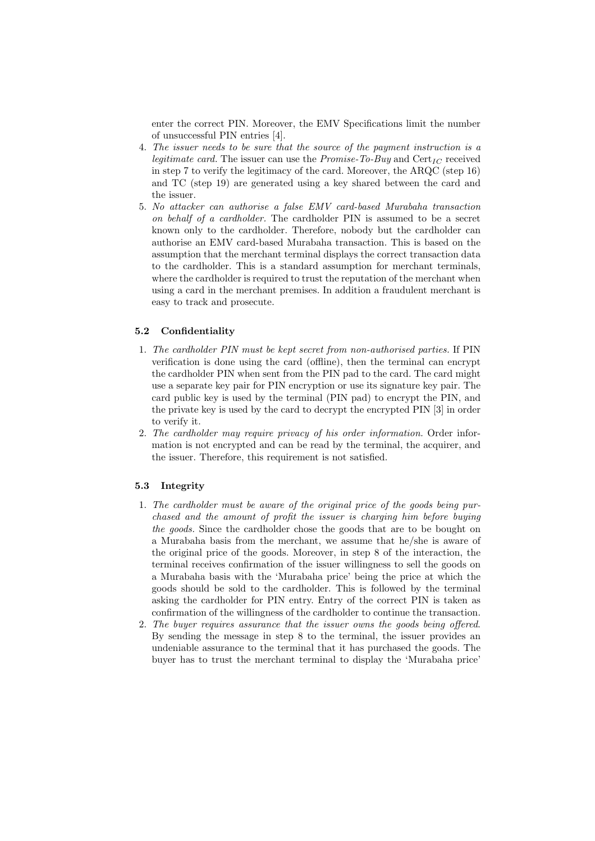enter the correct PIN. Moreover, the EMV Specifications limit the number of unsuccessful PIN entries [4].

- 4. The issuer needs to be sure that the source of the payment instruction is a legitimate card. The issuer can use the *Promise-To-Buy* and  $Cert_{IC}$  received in step 7 to verify the legitimacy of the card. Moreover, the ARQC (step 16) and TC (step 19) are generated using a key shared between the card and the issuer.
- 5. No attacker can authorise a false EMV card-based Murabaha transaction on behalf of a cardholder. The cardholder PIN is assumed to be a secret known only to the cardholder. Therefore, nobody but the cardholder can authorise an EMV card-based Murabaha transaction. This is based on the assumption that the merchant terminal displays the correct transaction data to the cardholder. This is a standard assumption for merchant terminals, where the cardholder is required to trust the reputation of the merchant when using a card in the merchant premises. In addition a fraudulent merchant is easy to track and prosecute.

### 5.2 Confidentiality

- 1. The cardholder PIN must be kept secret from non-authorised parties. If PIN verification is done using the card (offline), then the terminal can encrypt the cardholder PIN when sent from the PIN pad to the card. The card might use a separate key pair for PIN encryption or use its signature key pair. The card public key is used by the terminal (PIN pad) to encrypt the PIN, and the private key is used by the card to decrypt the encrypted PIN [3] in order to verify it.
- 2. The cardholder may require privacy of his order information. Order information is not encrypted and can be read by the terminal, the acquirer, and the issuer. Therefore, this requirement is not satisfied.

# 5.3 Integrity

- 1. The cardholder must be aware of the original price of the goods being purchased and the amount of profit the issuer is charging him before buying the goods. Since the cardholder chose the goods that are to be bought on a Murabaha basis from the merchant, we assume that he/she is aware of the original price of the goods. Moreover, in step 8 of the interaction, the terminal receives confirmation of the issuer willingness to sell the goods on a Murabaha basis with the 'Murabaha price' being the price at which the goods should be sold to the cardholder. This is followed by the terminal asking the cardholder for PIN entry. Entry of the correct PIN is taken as confirmation of the willingness of the cardholder to continue the transaction.
- 2. The buyer requires assurance that the issuer owns the goods being offered. By sending the message in step 8 to the terminal, the issuer provides an undeniable assurance to the terminal that it has purchased the goods. The buyer has to trust the merchant terminal to display the 'Murabaha price'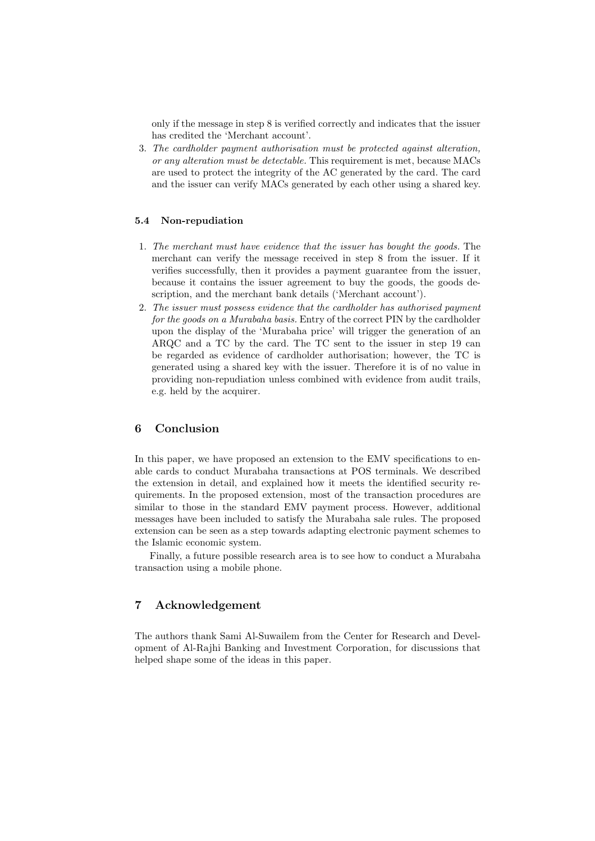only if the message in step 8 is verified correctly and indicates that the issuer has credited the 'Merchant account'.

3. The cardholder payment authorisation must be protected against alteration, or any alteration must be detectable. This requirement is met, because MACs are used to protect the integrity of the AC generated by the card. The card and the issuer can verify MACs generated by each other using a shared key.

# 5.4 Non-repudiation

- 1. The merchant must have evidence that the issuer has bought the goods. The merchant can verify the message received in step 8 from the issuer. If it verifies successfully, then it provides a payment guarantee from the issuer, because it contains the issuer agreement to buy the goods, the goods description, and the merchant bank details ('Merchant account').
- 2. The issuer must possess evidence that the cardholder has authorised payment for the goods on a Murabaha basis. Entry of the correct PIN by the cardholder upon the display of the 'Murabaha price' will trigger the generation of an ARQC and a TC by the card. The TC sent to the issuer in step 19 can be regarded as evidence of cardholder authorisation; however, the TC is generated using a shared key with the issuer. Therefore it is of no value in providing non-repudiation unless combined with evidence from audit trails, e.g. held by the acquirer.

# 6 Conclusion

In this paper, we have proposed an extension to the EMV specifications to enable cards to conduct Murabaha transactions at POS terminals. We described the extension in detail, and explained how it meets the identified security requirements. In the proposed extension, most of the transaction procedures are similar to those in the standard EMV payment process. However, additional messages have been included to satisfy the Murabaha sale rules. The proposed extension can be seen as a step towards adapting electronic payment schemes to the Islamic economic system.

Finally, a future possible research area is to see how to conduct a Murabaha transaction using a mobile phone.

# 7 Acknowledgement

The authors thank Sami Al-Suwailem from the Center for Research and Development of Al-Rajhi Banking and Investment Corporation, for discussions that helped shape some of the ideas in this paper.